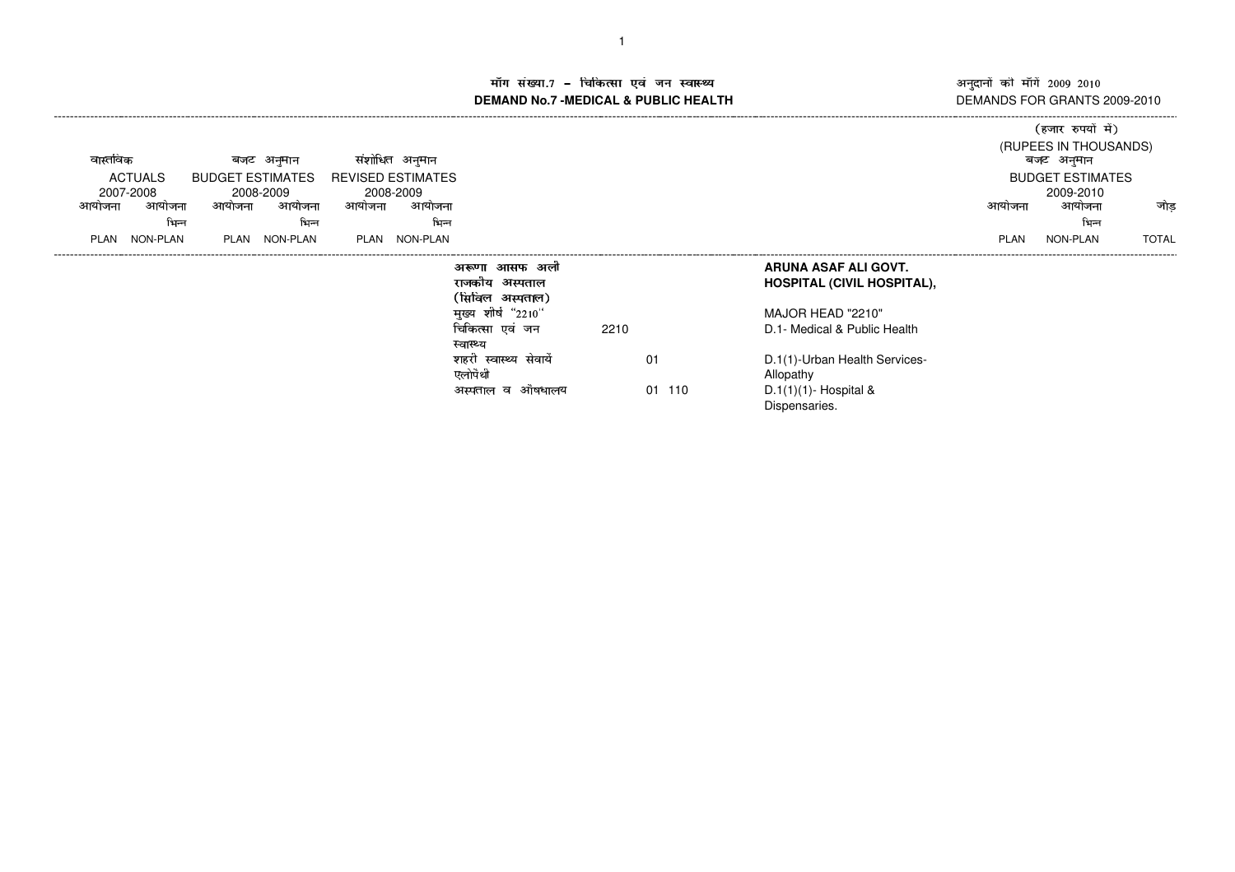अनुदानों की माँगें 2009–2010<br>DEMANDS FOR GRANTS 2009-2010 -------------------

()\*+,-./+010132

## ाँग संख्या.7 – चिकित्सा एवं जन स्वास्थ्य स्थान कर संस्था पर संस्था आर्यो अ **DEMAND No.7 -MEDICAL & PUBLIC HEALTH**----------------------------------------------------------------------------------------------------------------------------------------------------------------------------------------------------------------------------------------------------------------------------

|                |          |                 |                                       |           |                    |                          |                           |      |        |                                   |             | ्रजार रुपया म)        |                         |  |
|----------------|----------|-----------------|---------------------------------------|-----------|--------------------|--------------------------|---------------------------|------|--------|-----------------------------------|-------------|-----------------------|-------------------------|--|
|                |          |                 |                                       |           |                    |                          |                           |      |        |                                   |             | (RUPEES IN THOUSANDS) |                         |  |
|                | वास्तविक |                 | बजट अनुमान<br><b>BUDGET ESTIMATES</b> |           | संशांधित<br>अनुमान |                          |                           |      |        |                                   | बजट अनुमान  |                       |                         |  |
| <b>ACTUALS</b> |          |                 |                                       |           |                    | <b>REVISED ESTIMATES</b> |                           |      |        |                                   |             |                       | <b>BUDGET ESTIMATES</b> |  |
|                |          | 2007-2008       |                                       | 2008-2009 |                    | 2008-2009                |                           |      |        |                                   |             | 2009-2010             |                         |  |
|                | आयाजना   | आयोजना          | आयोजना                                | आयोजना    | आयोजना             | आयोजना                   |                           |      |        |                                   | आयोजना      | आयोजना                | जोड                     |  |
|                |          | भिन्न           |                                       | भिन्न     |                    | भिन्न                    |                           |      |        |                                   |             | भिन्न                 |                         |  |
|                | PLAN     | <b>NON-PLAN</b> | PLAN                                  | NON-PLAN  | <b>PLAN</b>        | NON-PLAN                 |                           |      |        |                                   | <b>PLAN</b> | NON-PLAN              | <b>TOTAL</b>            |  |
|                |          |                 |                                       |           |                    |                          | अली<br>अरूणा<br>आसफ       |      |        | ARUNA ASAF ALI GOVT.              |             |                       |                         |  |
|                |          |                 |                                       |           |                    |                          | अस्पताल<br>राजकीय         |      |        | <b>HOSPITAL (CIVIL HOSPITAL),</b> |             |                       |                         |  |
|                |          |                 |                                       |           |                    |                          | (सिविल अस्पताल)           |      |        |                                   |             |                       |                         |  |
|                |          |                 |                                       |           |                    |                          | मुख्य शीर्ष "2210"        |      |        | MAJOR HEAD "2210"                 |             |                       |                         |  |
|                |          |                 |                                       |           |                    |                          | चिकित्सा एवं जन           | 2210 |        | D.1- Medical & Public Health      |             |                       |                         |  |
|                |          |                 |                                       |           |                    |                          | स्वास्थ्य                 |      |        |                                   |             |                       |                         |  |
|                |          |                 |                                       |           |                    |                          | शहरी<br>स्वास्थ्य सेवायें |      | 01     | D.1(1)-Urban Health Services-     |             |                       |                         |  |
|                |          |                 |                                       |           |                    |                          | एलोपैथी                   |      |        | Allopathy                         |             |                       |                         |  |
|                |          |                 |                                       |           |                    |                          | औषधालय<br>अस्पताल व       |      | 01 110 | $D.1(1)(1)$ - Hospital &          |             |                       |                         |  |
|                |          |                 |                                       |           |                    |                          |                           |      |        | Dispensaries.                     |             |                       |                         |  |
|                |          |                 |                                       |           |                    |                          |                           |      |        |                                   |             |                       |                         |  |
|                |          |                 |                                       |           |                    |                          |                           |      |        |                                   |             |                       |                         |  |